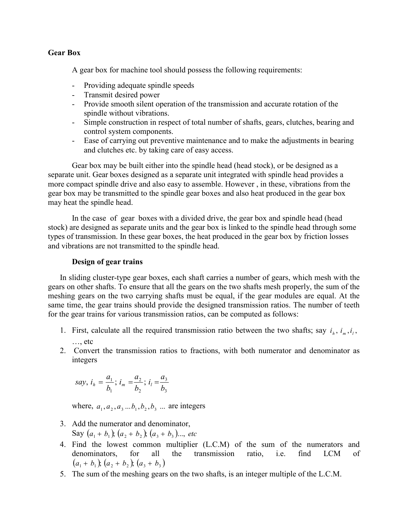# **Gear Box**

A gear box for machine tool should possess the following requirements:

- Providing adequate spindle speeds
- Transmit desired power
- Provide smooth silent operation of the transmission and accurate rotation of the spindle without vibrations.
- Simple construction in respect of total number of shafts, gears, clutches, bearing and control system components.
- Ease of carrying out preventive maintenance and to make the adjustments in bearing and clutches etc. by taking care of easy access.

Gear box may be built either into the spindle head (head stock), or be designed as a separate unit. Gear boxes designed as a separate unit integrated with spindle head provides a more compact spindle drive and also easy to assemble. However , in these, vibrations from the gear box may be transmitted to the spindle gear boxes and also heat produced in the gear box may heat the spindle head.

In the case of gear boxes with a divided drive, the gear box and spindle head (head stock) are designed as separate units and the gear box is linked to the spindle head through some types of transmission. In these gear boxes, the heat produced in the gear box by friction losses and vibrations are not transmitted to the spindle head.

# **Design of gear trains**

In sliding cluster-type gear boxes, each shaft carries a number of gears, which mesh with the gears on other shafts. To ensure that all the gears on the two shafts mesh properly, the sum of the meshing gears on the two carrying shafts must be equal, if the gear modules are equal. At the same time, the gear trains should provide the designed transmission ratios. The number of teeth for the gear trains for various transmission ratios, can be computed as follows:

- 1. First, calculate all the required transmission ratio between the two shafts; say  $i_{i}$ ,  $i_{m}$ ,  $i_{j}$ ,  $\ldots$  etc
- 2. Convert the transmission ratios to fractions, with both numerator and denominator as integers

$$
say, i_h = \frac{a_1}{b_1}; i_m = \frac{a_2}{b_2}; i_l = \frac{a_3}{b_3}
$$

where,  $a_1, a_2, a_3, \ldots, b_1, b_2, b_3, \ldots$  are integers

- 3. Add the numerator and denominator, Say  $(a_1 + b_1)$ ,  $(a_2 + b_2)$ ,  $(a_3 + b_3)$ , *etc*
- 4. Find the lowest common multiplier (L.C.M) of the sum of the numerators and denominators, for all the transmission ratio, i.e. find LCM of  $(a_1 + b_1)$ ;  $(a_2 + b_2)$ ;  $(a_3 + b_3)$
- 5. The sum of the meshing gears on the two shafts, is an integer multiple of the L.C.M.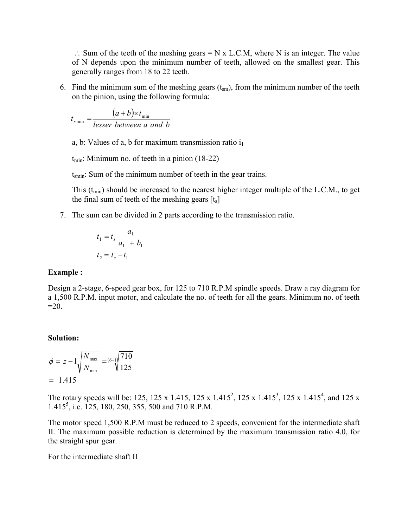$\therefore$  Sum of the teeth of the meshing gears = N x L.C.M, where N is an integer. The value of N depends upon the minimum number of teeth, allowed on the smallest gear. This generally ranges from 18 to 22 teeth.

6. Find the minimum sum of the meshing gears  $(t_{\rm sm})$ , from the minimum number of the teeth on the pinion, using the following formula:

$$
t_{s\min} = \frac{(a+b)\times t_{\min}}{lesser between a and b}
$$

a, b: Values of a, b for maximum transmission ratio  $i_1$ 

 $t_{\text{min}}$ : Minimum no. of teeth in a pinion (18-22)

 $t_{\rm smin}$ : Sum of the minimum number of teeth in the gear trains.

This  $(t_{min})$  should be increased to the nearest higher integer multiple of the L.C.M., to get the final sum of teeth of the meshing gears  $[t_s]$ 

7. The sum can be divided in 2 parts according to the transmission ratio.

$$
t_1 = t_s \frac{a_1}{a_1 + b_1}
$$
  

$$
t_2 = t_s - t_1
$$

#### **Example :**

Design a 2-stage, 6-speed gear box, for 125 to 710 R.P.M spindle speeds. Draw a ray diagram for a 1,500 R.P.M. input motor, and calculate the no. of teeth for all the gears. Minimum no. of teeth  $=20$ .

### **Solution:**

$$
\phi = z - 1 \sqrt{\frac{N_{\text{max}}}{N_{\text{min}}}} = \frac{(6-1)}{125}
$$
  
= 1.415

The rotary speeds will be: 125, 125 x 1.415, 125 x 1.415<sup>2</sup>, 125 x 1.415<sup>3</sup>, 125 x 1.415<sup>4</sup>, and 125 x 1.4155 , i.e. 125, 180, 250, 355, 500 and 710 R.P.M.

The motor speed 1,500 R.P.M must be reduced to 2 speeds, convenient for the intermediate shaft II. The maximum possible reduction is determined by the maximum transmission ratio 4.0, for the straight spur gear.

For the intermediate shaft II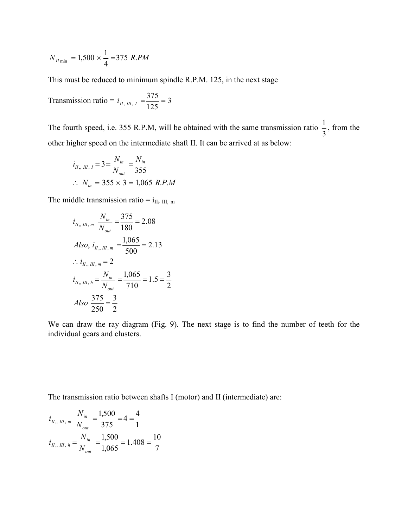$$
N_{H \min} = 1,500 \times \frac{1}{4} = 375 \, R.PM
$$

This must be reduced to minimum spindle R.P.M. 125, in the next stage

Transmission ratio = 
$$
i_{II, III, I} = \frac{375}{125} = 3
$$

The fourth speed, i.e. 355 R.P.M, will be obtained with the same transmission ratio  $\frac{1}{3}$ , from the other higher speed on the intermediate shaft II. It can be arrived at as below:

$$
i_{H_{\nu, HII, I}} = 3 = \frac{N_{in}}{N_{out}} = \frac{N_{in}}{355}
$$
  
:.  $N_{in} = 355 \times 3 = 1,065$  R.P.M

The middle transmission ratio =  $i_{II}$ ,  $_{III}$ , m

$$
i_{H_{\nu}, H_{\nu}, m} \frac{N_{in}}{N_{out}} = \frac{375}{180} = 2.08
$$
  
Also,  $i_{H_{\nu}, H_{\nu}, m} = \frac{1,065}{500} = 2.13$   
 $\therefore i_{H_{\nu}, H_{\nu}, m} = 2$   
 $i_{H_{\nu}, H_{\nu}, h} = \frac{N_{in}}{N_{out}} = \frac{1,065}{710} = 1.5 = \frac{3}{2}$   
Also  $\frac{375}{250} = \frac{3}{2}$ 

We can draw the ray diagram (Fig. 9). The next stage is to find the number of teeth for the individual gears and clusters.

The transmission ratio between shafts I (motor) and II (intermediate) are:

$$
i_{II,\,III,\,m} \frac{N_{in}}{N_{out}} = \frac{1,500}{375} = 4 = \frac{4}{1}
$$
  

$$
i_{II,\,III,\,h} = \frac{N_{in}}{N_{out}} = \frac{1,500}{1,065} = 1.408 = \frac{10}{7}
$$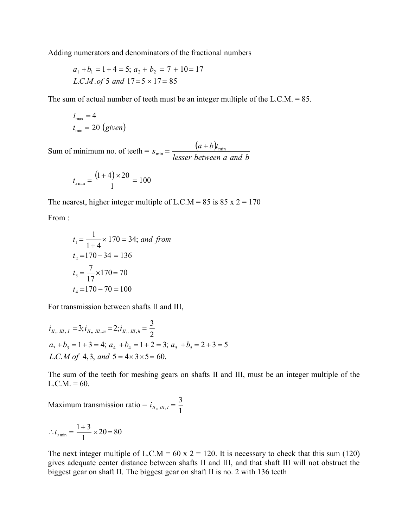Adding numerators and denominators of the fractional numbers

$$
a_1 + b_1 = 1 + 4 = 5
$$
;  $a_2 + b_2 = 7 + 10 = 17$   
L.C.M. of 5 and 17 = 5 × 17 = 85

The sum of actual number of teeth must be an integer multiple of the L.C.M. = 85.

$$
i_{\max} = 4
$$
  

$$
t_{\min} = 20 \text{ (given)}
$$

Sum of minimum no. of teeth =  $s_{\min} = \frac{(a+b)}{1-a}$ *lesser between a and b*  $s_{\min} = \frac{(a+b)t_{\min}}{l_{\max} + h_{\min}t_{\max}}$ 

$$
t_{\text{smin}} = \frac{(1+4) \times 20}{1} = 100
$$

The nearest, higher integer multiple of L.C.M = 85 is 85 x  $2 = 170$ 

From :

$$
t_1 = \frac{1}{1+4} \times 170 = 34; \text{ and from}
$$
  
\n
$$
t_2 = 170 - 34 = 136
$$
  
\n
$$
t_3 = \frac{7}{17} \times 170 = 70
$$
  
\n
$$
t_4 = 170 - 70 = 100
$$

For transmission between shafts II and III,

$$
i_{H_m H, I} = 3; i_{H_m H, m} = 2; i_{H_m H, h} = \frac{3}{2}
$$
  
\n
$$
a_3 + b_3 = 1 + 3 = 4; a_4 + b_4 = 1 + 2 = 3; a_5 + b_5 = 2 + 3 = 5
$$
  
\nL.C.M of 4, 3, and 5 = 4×3×5 = 60.

The sum of the teeth for meshing gears on shafts II and III, must be an integer multiple of the  $L.C.M. = 60.$ 

Maximum transmission ratio =  $i_{II_*, II_*, I} = \frac{3}{1}$ 

$$
\therefore t_{\text{smin}} = \frac{1+3}{1} \times 20 = 80
$$

The next integer multiple of L.C.M = 60 x 2 = 120. It is necessary to check that this sum (120) gives adequate center distance between shafts II and III, and that shaft III will not obstruct the biggest gear on shaft II. The biggest gear on shaft II is no. 2 with 136 teeth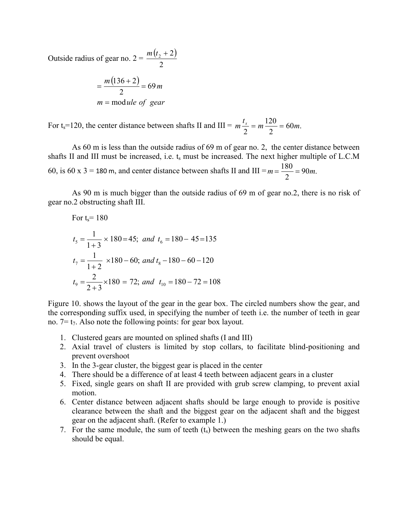Outside radius of gear no. 2 =  $\frac{m(t_2+2)}{2}$ 2 *m* ( $t_2$  + 2

$$
= \frac{m(136+2)}{2} = 69 m
$$
  

$$
m = \text{module of gear}
$$

For t<sub>s</sub>=120, the center distance between shafts II and III =  $m \frac{t_s}{2} = m \frac{120}{2} = 60m$ . 2  $m \frac{t_s}{2} = m \frac{120}{2} = 60m$ 

As 60 m is less than the outside radius of 69 m of gear no. 2, the center distance between shafts II and III must be increased, i.e. t<sub>s</sub> must be increased. The next higher multiple of L.C.M 60, is 60 x 3 = 180 m, and center distance between shafts II and III =  $m = \frac{180}{2} = 90m$ .

As 90 m is much bigger than the outside radius of 69 m of gear no.2, there is no risk of gear no.2 obstructing shaft III.

For t<sub>s</sub>= 180  
\n
$$
t_5 = \frac{1}{1+3} \times 180 = 45
$$
; and  $t_6 = 180 - 45 = 135$   
\n $t_7 = \frac{1}{1+2} \times 180 - 60$ ; and  $t_8 - 180 - 60 - 120$   
\n $t_9 = \frac{2}{2+3} \times 180 = 72$ ; and  $t_{10} = 180 - 72 = 108$ 

Figure 10. shows the layout of the gear in the gear box. The circled numbers show the gear, and the corresponding suffix used, in specifying the number of teeth i.e. the number of teeth in gear no.  $7 = t_7$ . Also note the following points: for gear box layout.

- 1. Clustered gears are mounted on splined shafts (I and III)
- 2. Axial travel of clusters is limited by stop collars, to facilitate blind-positioning and prevent overshoot
- 3. In the 3-gear cluster, the biggest gear is placed in the center
- 4. There should be a difference of at least 4 teeth between adjacent gears in a cluster
- 5. Fixed, single gears on shaft II are provided with grub screw clamping, to prevent axial motion.
- 6. Center distance between adjacent shafts should be large enough to provide is positive clearance between the shaft and the biggest gear on the adjacent shaft and the biggest gear on the adjacent shaft. (Refer to example 1.)
- 7. For the same module, the sum of teeth  $(t<sub>s</sub>)$  between the meshing gears on the two shafts should be equal.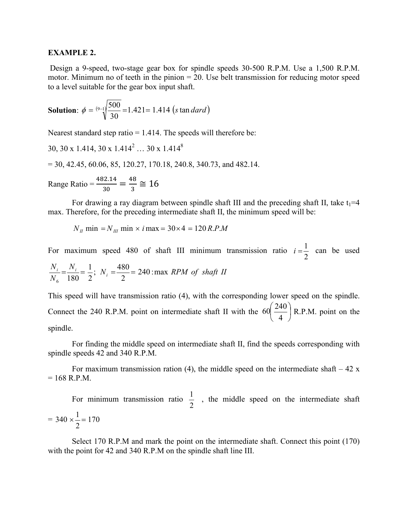### **EXAMPLE 2.**

Design a 9-speed, two-stage gear box for spindle speeds 30-500 R.P.M. Use a 1,500 R.P.M. motor. Minimum no of teeth in the pinion  $= 20$ . Use belt transmission for reducing motor speed to a level suitable for the gear box input shaft.

**Solution**: 
$$
\phi = {^{(9-1)}} \sqrt{\frac{500}{30}} = 1.421 = 1.414
$$
 (s tan *dard*)

Nearest standard step ratio  $= 1.414$ . The speeds will therefore be:

30, 30 x 1.414, 30 x 1.414<sup>2</sup> ... 30 x 1.414<sup>8</sup>  
= 30, 42.45, 60.06, 85, 120.27, 170.18, 240.8, 340.73, and 482.14.  
Range Ratio = 
$$
\frac{482.14}{30} = \frac{48}{3} \approx 16
$$

For drawing a ray diagram between spindle shaft III and the preceding shaft II, take  $t_1=4$ max. Therefore, for the preceding intermediate shaft II, the minimum speed will be:

 $N_{II}$  min  $= N_{III}$  min  $\times i$  max  $= 30 \times 4 = 120$  *R.P.M* 

For maximum speed 480 of shaft III minimum transmission ratio 2  $i = \frac{1}{2}$  can be used  $\frac{N_i}{N_i} = \frac{1}{n}$ ;  $N_i = \frac{480}{n} = 240$ : max *RPM* of shaft *II N N*  $\frac{i}{100} = \frac{1}{2}$ ;  $N_i = \frac{480}{2} = 240$  : max 2  $N_i = \frac{480}{2}$ 2 1  $6\quad 180$  $=\frac{N_i}{100}=\frac{1}{2}$ ;  $N_i=\frac{100}{2}=$ 

This speed will have transmission ratio (4), with the corresponding lower speed on the spindle. Connect the 240 R.P.M. point on intermediate shaft II with the  $60\frac{240}{4}$  $\bigg)$  $\left(\frac{240}{4}\right)$  $\setminus$ ſ 4  $60\left(\frac{240}{4}\right)$  R.P.M. point on the spindle.

For finding the middle speed on intermediate shaft II, find the speeds corresponding with spindle speeds 42 and 340 R.P.M.

For maximum transmission ration (4), the middle speed on the intermediate shaft  $-42$  x  $= 168$  R.P.M.

For minimum transmission ratio 2  $\frac{1}{2}$ , the middle speed on the intermediate shaft  $= 340 \times \frac{1}{2} = 170$ 2  $340 \times \frac{1}{2} =$ 

Select 170 R.P.M and mark the point on the intermediate shaft. Connect this point (170) with the point for 42 and 340 R.P.M on the spindle shaft line III.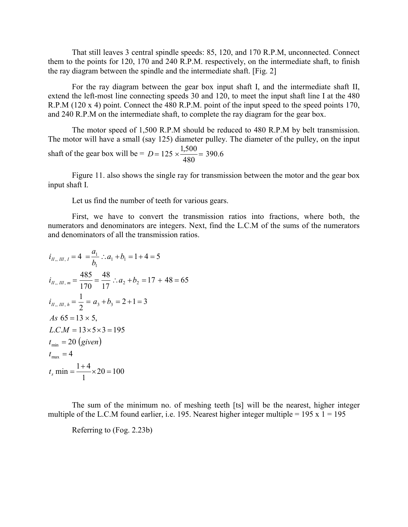That still leaves 3 central spindle speeds: 85, 120, and 170 R.P.M, unconnected. Connect them to the points for 120, 170 and 240 R.P.M. respectively, on the intermediate shaft, to finish the ray diagram between the spindle and the intermediate shaft. [Fig. 2]

For the ray diagram between the gear box input shaft I, and the intermediate shaft II, extend the left-most line connecting speeds 30 and 120, to meet the input shaft line I at the 480 R.P.M (120 x 4) point. Connect the 480 R.P.M. point of the input speed to the speed points 170, and 240 R.P.M on the intermediate shaft, to complete the ray diagram for the gear box.

The motor speed of 1,500 R.P.M should be reduced to 480 R.P.M by belt transmission. The motor will have a small (say 125) diameter pulley. The diameter of the pulley, on the input shaft of the gear box will be =  $D = 125 \times \frac{1,500}{100} = 390.6$ 480  $D = 125 \times \frac{1,500}{100} =$ 

Figure 11. also shows the single ray for transmission between the motor and the gear box input shaft I.

Let us find the number of teeth for various gears.

First, we have to convert the transmission ratios into fractions, where both, the numerators and denominators are integers. Next, find the L.C.M of the sums of the numerators and denominators of all the transmission ratios.

$$
i_{H_{\gamma} H_{\gamma} I} = 4 = \frac{a_1}{b_1} \therefore a_1 + b_1 = 1 + 4 = 5
$$
  
\n
$$
i_{H_{\gamma} H_{\gamma} m} = \frac{485}{170} = \frac{48}{17} \therefore a_2 + b_2 = 17 + 48 = 65
$$
  
\n
$$
i_{H_{\gamma} H_{\gamma} h} = \frac{1}{2} = a_3 + b_3 = 2 + 1 = 3
$$
  
\nAs 65 = 13 × 5,  
\nL.C.M = 13 × 5 × 3 = 195  
\n
$$
t_{\min} = 20 \text{ (given)}
$$
  
\n
$$
t_{\max} = 4
$$
  
\n
$$
t_s \text{ min} = \frac{1 + 4}{1} \times 20 = 100
$$

The sum of the minimum no. of meshing teeth [ts] will be the nearest, higher integer multiple of the L.C.M found earlier, i.e. 195. Nearest higher integer multiple =  $195 \times 1 = 195$ 

Referring to (Fog. 2.23b)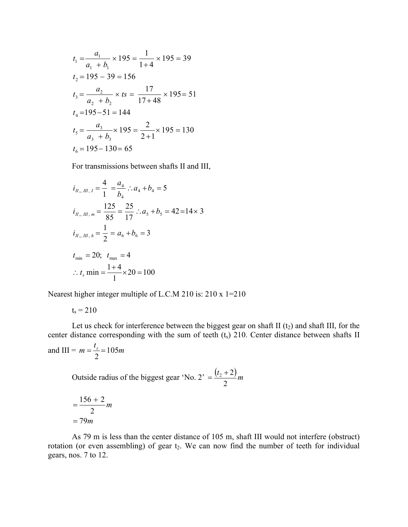$$
t_1 = \frac{a_1}{a_1 + b_1} \times 195 = \frac{1}{1+4} \times 195 = 39
$$
  
\n
$$
t_2 = 195 - 39 = 156
$$
  
\n
$$
t_3 = \frac{a_2}{a_2 + b_2} \times ts = \frac{17}{17+48} \times 195 = 51
$$
  
\n
$$
t_4 = 195 - 51 = 144
$$
  
\n
$$
t_5 = \frac{a_3}{a_3 + b_3} \times 195 = \frac{2}{2+1} \times 195 = 130
$$
  
\n
$$
t_6 = 195 - 130 = 65
$$

For transmissions between shafts II and III,

$$
i_{H_{\gamma}, H_{\gamma}, I} = \frac{4}{1} = \frac{a_4}{b_4} \therefore a_4 + b_4 = 5
$$
  
\n
$$
i_{H_{\gamma}, H_{\gamma}, m} = \frac{125}{85} = \frac{25}{17} \therefore a_5 + b_5 = 42 = 14 \times 3
$$
  
\n
$$
i_{H_{\gamma}, H_{\gamma}, h} = \frac{1}{2} = a_6 + b_6 = 3
$$
  
\n
$$
t_{\min} = 20; \quad t_{\max} = 4
$$
  
\n
$$
\therefore t_s \text{ min} = \frac{1+4}{1} \times 20 = 100
$$

Nearest higher integer multiple of L.C.M 210 is: 210 x 1=210

 $t_s = 210$ 

Let us check for interference between the biggest gear on shaft II  $(t_2)$  and shaft III, for the center distance corresponding with the sum of teeth  $(t_s)$  210. Center distance between shafts II *t*

and III = 
$$
m = \frac{t_s}{2} = 105m
$$

Outside radius of the biggest gear 'No. 2' =  $\frac{(t_2 + 2)}{2}m$ 2  $=\frac{(t_2+2)}{2}$ 

$$
=\frac{156+2}{2}m
$$

$$
=79m
$$

As 79 m is less than the center distance of 105 m, shaft III would not interfere (obstruct) rotation (or even assembling) of gear t<sub>2</sub>. We can now find the number of teeth for individual gears, nos. 7 to 12.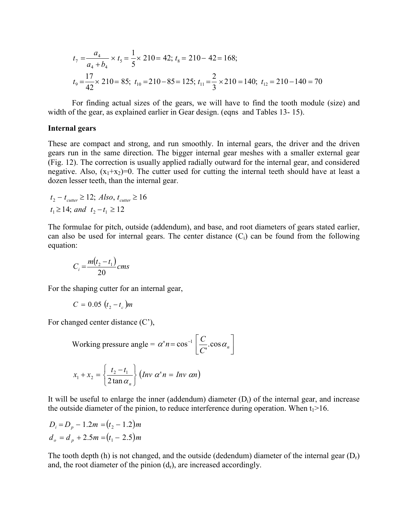$$
t_7 = \frac{a_4}{a_4 + b_4} \times t_5 = \frac{1}{5} \times 210 = 42; t_8 = 210 - 42 = 168;
$$
  

$$
t_9 = \frac{17}{42} \times 210 = 85; t_{10} = 210 - 85 = 125; t_{11} = \frac{2}{3} \times 210 = 140; t_{12} = 210 - 140 = 70
$$

For finding actual sizes of the gears, we will have to find the tooth module (size) and width of the gear, as explained earlier in Gear design. (eqns and Tables 13-15).

#### **Internal gears**

These are compact and strong, and run smoothly. In internal gears, the driver and the driven gears run in the same direction. The bigger internal gear meshes with a smaller external gear (Fig. 12). The correction is usually applied radially outward for the internal gear, and considered negative. Also,  $(x_1+x_2)=0$ . The cutter used for cutting the internal teeth should have at least a dozen lesser teeth, than the internal gear.

$$
t_2 - t_{\text{cutter}} \ge 12; \text{ Also, } t_{\text{cutter}} \ge 16
$$
  

$$
t_1 \ge 14; \text{ and } t_2 - t_1 \ge 12
$$

The formulae for pitch, outside (addendum), and base, and root diameters of gears stated earlier, can also be used for internal gears. The center distance  $(C_i)$  can be found from the following equation:

$$
C_i = \frac{m(t_2 - t_1)}{20}cms
$$

For the shaping cutter for an internal gear,

$$
C=0.05\ (t_2-t_c)m
$$

For changed center distance (C'),

Working pressure angle = 
$$
\alpha' n = \cos^{-1} \left[ \frac{C}{C} \cdot \cos \alpha_n \right]
$$

$$
x_1 + x_2 = \left\{ \frac{t_2 - t_1}{2 \tan \alpha_n} \right\} (Inv \ \alpha^n n = Inv \ \alpha n)
$$

It will be useful to enlarge the inner (addendum) diameter  $(D_i)$  of the internal gear, and increase the outside diameter of the pinion, to reduce interference during operation. When  $t_1>16$ .

$$
D_i = D_p - 1.2m = (t_2 - 1.2)m
$$
  

$$
d_o = d_p + 2.5m = (t_1 - 2.5)m
$$

The tooth depth (h) is not changed, and the outside (dedendum) diameter of the internal gear  $(D<sub>r</sub>)$ and, the root diameter of the pinion  $(d_r)$ , are increased accordingly.